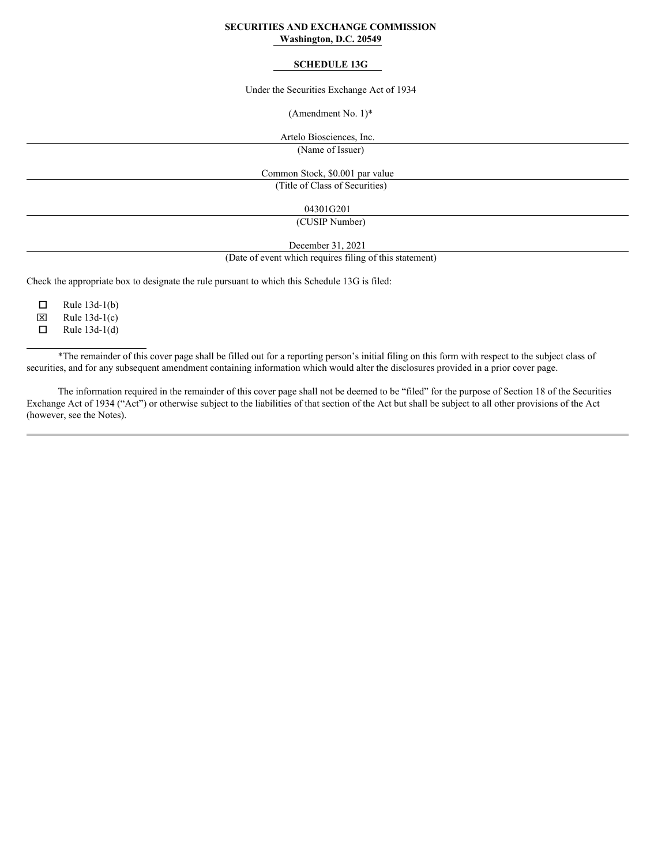## **SECURITIES AND EXCHANGE COMMISSION Washington, D.C. 20549**

## **SCHEDULE 13G**

Under the Securities Exchange Act of 1934

(Amendment No. 1)\*

Artelo Biosciences, Inc.

(Name of Issuer)

Common Stock, \$0.001 par value

(Title of Class of Securities)

04301G201

(CUSIP Number)

December 31, 2021

(Date of event which requires filing of this statement)

Check the appropriate box to designate the rule pursuant to which this Schedule 13G is filed:

 $\Box$  Rule 13d-1(b)  $\mathbf{\overline{X}}$  Rule 13d-1(c)

 $\Box$  Rule 13d-1(d)

\*The remainder of this cover page shall be filled out for a reporting person's initial filing on this form with respect to the subject class of securities, and for any subsequent amendment containing information which would alter the disclosures provided in a prior cover page.

The information required in the remainder of this cover page shall not be deemed to be "filed" for the purpose of Section 18 of the Securities Exchange Act of 1934 ("Act") or otherwise subject to the liabilities of that section of the Act but shall be subject to all other provisions of the Act (however, see the Notes).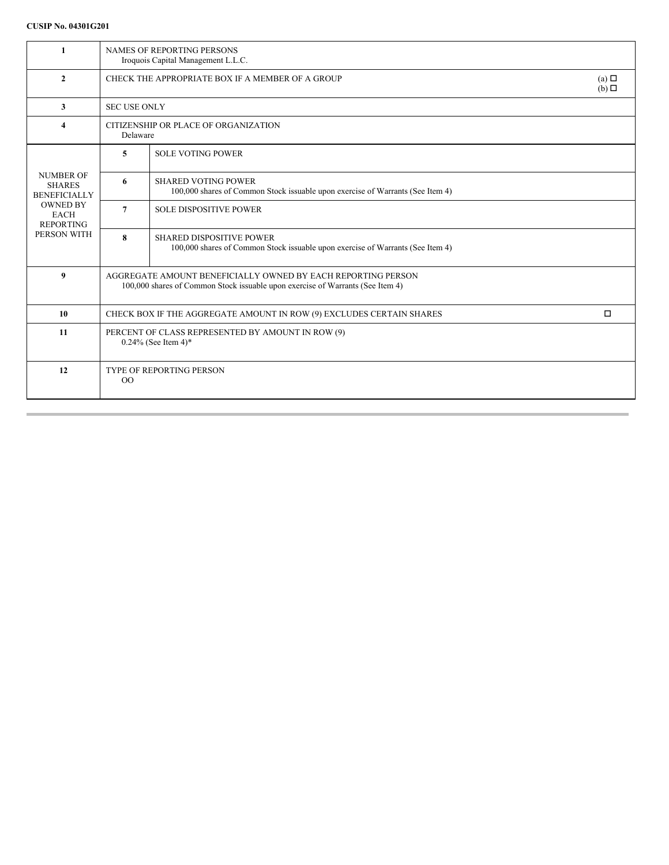| $\mathbf{1}$                                                                                                                  | <b>NAMES OF REPORTING PERSONS</b><br>Iroquois Capital Management L.L.C.                                                                        |                                                                                                                   |  |  |  |
|-------------------------------------------------------------------------------------------------------------------------------|------------------------------------------------------------------------------------------------------------------------------------------------|-------------------------------------------------------------------------------------------------------------------|--|--|--|
| $\overline{2}$                                                                                                                | CHECK THE APPROPRIATE BOX IF A MEMBER OF A GROUP                                                                                               | $(a)$ $\square$<br>$(b)$ $\square$                                                                                |  |  |  |
| 3                                                                                                                             |                                                                                                                                                | <b>SEC USE ONLY</b>                                                                                               |  |  |  |
| 4                                                                                                                             | CITIZENSHIP OR PLACE OF ORGANIZATION<br>Delaware                                                                                               |                                                                                                                   |  |  |  |
|                                                                                                                               | 5                                                                                                                                              | <b>SOLE VOTING POWER</b>                                                                                          |  |  |  |
| <b>NUMBER OF</b><br><b>SHARES</b><br><b>BENEFICIALLY</b><br><b>OWNED BY</b><br><b>EACH</b><br><b>REPORTING</b><br>PERSON WITH | 6                                                                                                                                              | <b>SHARED VOTING POWER</b><br>100,000 shares of Common Stock issuable upon exercise of Warrants (See Item 4)      |  |  |  |
|                                                                                                                               | $\overline{7}$                                                                                                                                 | <b>SOLE DISPOSITIVE POWER</b>                                                                                     |  |  |  |
|                                                                                                                               | 8                                                                                                                                              | <b>SHARED DISPOSITIVE POWER</b><br>100,000 shares of Common Stock issuable upon exercise of Warrants (See Item 4) |  |  |  |
| $\boldsymbol{9}$                                                                                                              | AGGREGATE AMOUNT BENEFICIALLY OWNED BY EACH REPORTING PERSON<br>100,000 shares of Common Stock issuable upon exercise of Warrants (See Item 4) |                                                                                                                   |  |  |  |
| 10                                                                                                                            | $\Box$<br>CHECK BOX IF THE AGGREGATE AMOUNT IN ROW (9) EXCLUDES CERTAIN SHARES                                                                 |                                                                                                                   |  |  |  |
| 11                                                                                                                            | PERCENT OF CLASS REPRESENTED BY AMOUNT IN ROW (9)<br>$0.24\%$ (See Item 4)*                                                                    |                                                                                                                   |  |  |  |
| 12                                                                                                                            | <b>TYPE OF REPORTING PERSON</b><br>00                                                                                                          |                                                                                                                   |  |  |  |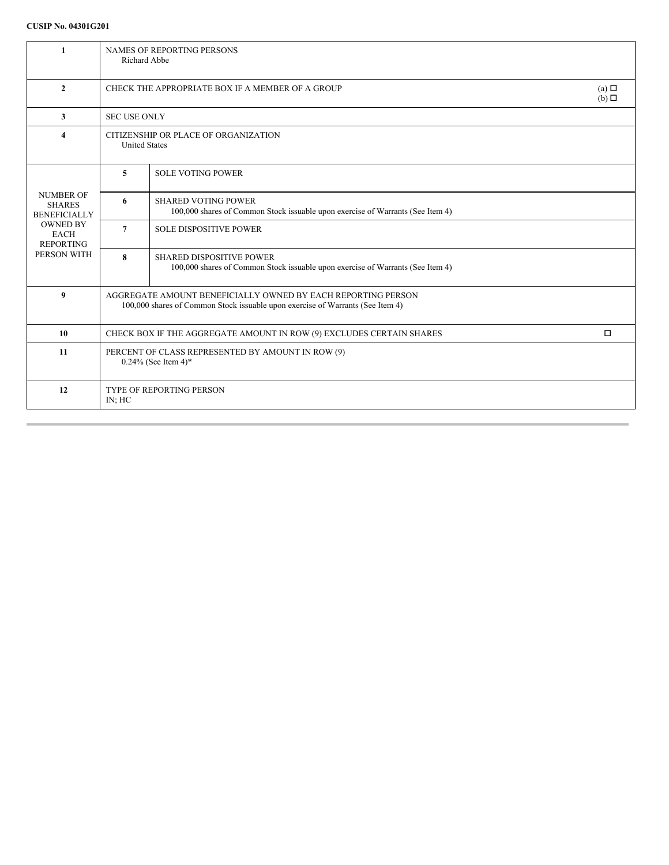| $\mathbf{1}$                                                                                                                  | <b>NAMES OF REPORTING PERSONS</b><br>Richard Abbe                                                                                              |                                                                                                                   |  |  |  |
|-------------------------------------------------------------------------------------------------------------------------------|------------------------------------------------------------------------------------------------------------------------------------------------|-------------------------------------------------------------------------------------------------------------------|--|--|--|
| $\mathbf{2}$                                                                                                                  | CHECK THE APPROPRIATE BOX IF A MEMBER OF A GROUP                                                                                               | (a) $\Box$<br>$(b)$ $\Box$                                                                                        |  |  |  |
| 3                                                                                                                             | <b>SEC USE ONLY</b>                                                                                                                            |                                                                                                                   |  |  |  |
| $\overline{\mathbf{4}}$                                                                                                       | CITIZENSHIP OR PLACE OF ORGANIZATION<br><b>United States</b>                                                                                   |                                                                                                                   |  |  |  |
| <b>NUMBER OF</b><br><b>SHARES</b><br><b>BENEFICIALLY</b><br><b>OWNED BY</b><br><b>EACH</b><br><b>REPORTING</b><br>PERSON WITH | 5                                                                                                                                              | <b>SOLE VOTING POWER</b>                                                                                          |  |  |  |
|                                                                                                                               | 6                                                                                                                                              | <b>SHARED VOTING POWER</b><br>100,000 shares of Common Stock issuable upon exercise of Warrants (See Item 4)      |  |  |  |
|                                                                                                                               | 7                                                                                                                                              | <b>SOLE DISPOSITIVE POWER</b>                                                                                     |  |  |  |
|                                                                                                                               | 8                                                                                                                                              | <b>SHARED DISPOSITIVE POWER</b><br>100,000 shares of Common Stock issuable upon exercise of Warrants (See Item 4) |  |  |  |
| $\boldsymbol{9}$                                                                                                              | AGGREGATE AMOUNT BENEFICIALLY OWNED BY EACH REPORTING PERSON<br>100,000 shares of Common Stock issuable upon exercise of Warrants (See Item 4) |                                                                                                                   |  |  |  |
| 10                                                                                                                            | CHECK BOX IF THE AGGREGATE AMOUNT IN ROW (9) EXCLUDES CERTAIN SHARES<br>$\Box$                                                                 |                                                                                                                   |  |  |  |
| 11                                                                                                                            | PERCENT OF CLASS REPRESENTED BY AMOUNT IN ROW (9)<br>$0.24\%$ (See Item 4)*                                                                    |                                                                                                                   |  |  |  |
| 12                                                                                                                            | <b>TYPE OF REPORTING PERSON</b><br>IN: HC                                                                                                      |                                                                                                                   |  |  |  |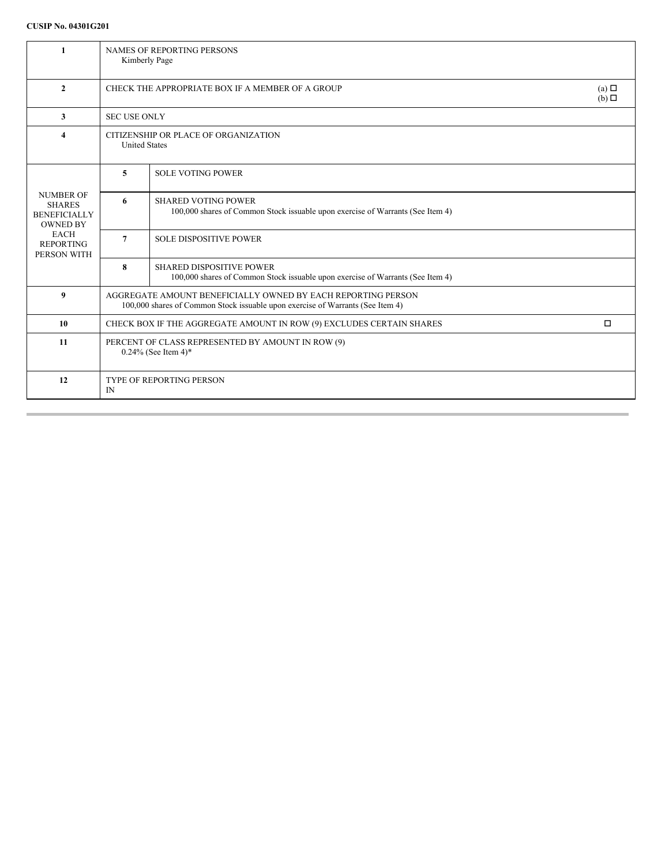| $\mathbf{1}$                                                                                                                  | <b>NAMES OF REPORTING PERSONS</b><br>Kimberly Page                                                                                             |                                                                                                                   |  |  |  |
|-------------------------------------------------------------------------------------------------------------------------------|------------------------------------------------------------------------------------------------------------------------------------------------|-------------------------------------------------------------------------------------------------------------------|--|--|--|
| $\mathbf{2}$                                                                                                                  | CHECK THE APPROPRIATE BOX IF A MEMBER OF A GROUP                                                                                               |                                                                                                                   |  |  |  |
| 3                                                                                                                             | <b>SEC USE ONLY</b>                                                                                                                            |                                                                                                                   |  |  |  |
| $\overline{\bf{4}}$                                                                                                           | CITIZENSHIP OR PLACE OF ORGANIZATION<br><b>United States</b>                                                                                   |                                                                                                                   |  |  |  |
| <b>NUMBER OF</b><br><b>SHARES</b><br><b>BENEFICIALLY</b><br><b>OWNED BY</b><br><b>EACH</b><br><b>REPORTING</b><br>PERSON WITH | 5                                                                                                                                              | <b>SOLE VOTING POWER</b>                                                                                          |  |  |  |
|                                                                                                                               | 6                                                                                                                                              | <b>SHARED VOTING POWER</b><br>100,000 shares of Common Stock issuable upon exercise of Warrants (See Item 4)      |  |  |  |
|                                                                                                                               | $\overline{7}$                                                                                                                                 | <b>SOLE DISPOSITIVE POWER</b>                                                                                     |  |  |  |
|                                                                                                                               | 8                                                                                                                                              | <b>SHARED DISPOSITIVE POWER</b><br>100,000 shares of Common Stock issuable upon exercise of Warrants (See Item 4) |  |  |  |
| 9                                                                                                                             | AGGREGATE AMOUNT BENEFICIALLY OWNED BY EACH REPORTING PERSON<br>100,000 shares of Common Stock issuable upon exercise of Warrants (See Item 4) |                                                                                                                   |  |  |  |
| 10                                                                                                                            | $\Box$<br>CHECK BOX IF THE AGGREGATE AMOUNT IN ROW (9) EXCLUDES CERTAIN SHARES                                                                 |                                                                                                                   |  |  |  |
| 11                                                                                                                            | PERCENT OF CLASS REPRESENTED BY AMOUNT IN ROW (9)<br>$0.24\%$ (See Item 4)*                                                                    |                                                                                                                   |  |  |  |
| 12                                                                                                                            | TYPE OF REPORTING PERSON<br>IN                                                                                                                 |                                                                                                                   |  |  |  |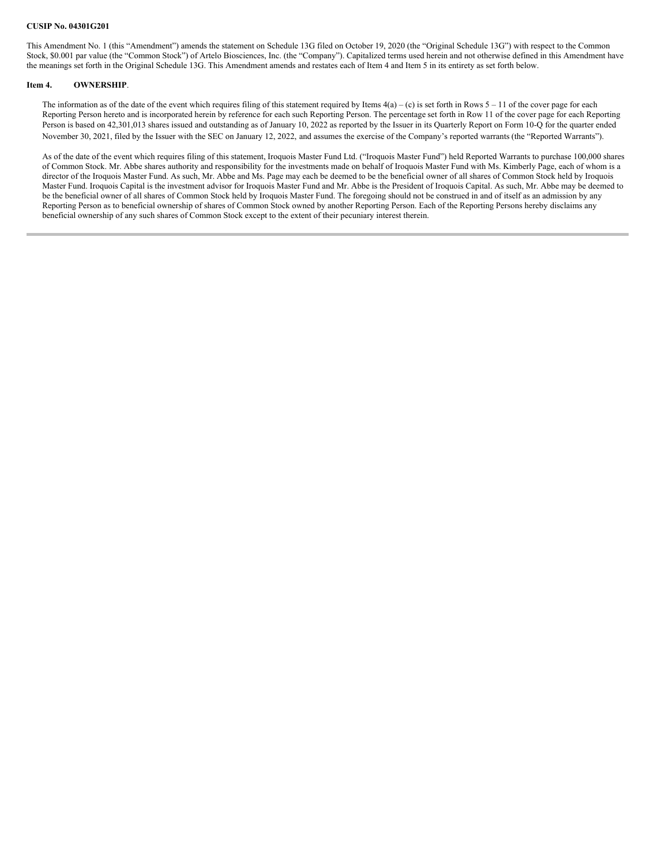This Amendment No. 1 (this "Amendment") amends the statement on Schedule 13G filed on October 19, 2020 (the "Original Schedule 13G") with respect to the Common Stock, \$0.001 par value (the "Common Stock") of Artelo Biosciences, Inc. (the "Company"). Capitalized terms used herein and not otherwise defined in this Amendment have the meanings set forth in the Original Schedule 13G. This Amendment amends and restates each of Item 4 and Item 5 in its entirety as set forth below.

#### **Item 4. OWNERSHIP**.

The information as of the date of the event which requires filing of this statement required by Items  $4(a) - (c)$  is set forth in Rows  $5 - 11$  of the cover page for each Reporting Person hereto and is incorporated herein by reference for each such Reporting Person. The percentage set forth in Row 11 of the cover page for each Reporting Person is based on 42,301,013 shares issued and outstanding as of January 10, 2022 as reported by the Issuer in its Quarterly Report on Form 10-Q for the quarter ended November 30, 2021, filed by the Issuer with the SEC on January 12, 2022, and assumes the exercise of the Company's reported warrants (the "Reported Warrants").

As of the date of the event which requires filing of this statement, Iroquois Master Fund Ltd. ("Iroquois Master Fund") held Reported Warrants to purchase 100,000 shares of Common Stock. Mr. Abbe shares authority and responsibility for the investments made on behalf of Iroquois Master Fund with Ms. Kimberly Page, each of whom is a director of the Iroquois Master Fund. As such, Mr. Abbe and Ms. Page may each be deemed to be the beneficial owner of all shares of Common Stock held by Iroquois Master Fund. Iroquois Capital is the investment advisor for Iroquois Master Fund and Mr. Abbe is the President of Iroquois Capital. As such, Mr. Abbe may be deemed to be the beneficial owner of all shares of Common Stock held by Iroquois Master Fund. The foregoing should not be construed in and of itself as an admission by any Reporting Person as to beneficial ownership of shares of Common Stock owned by another Reporting Person. Each of the Reporting Persons hereby disclaims any beneficial ownership of any such shares of Common Stock except to the extent of their pecuniary interest therein.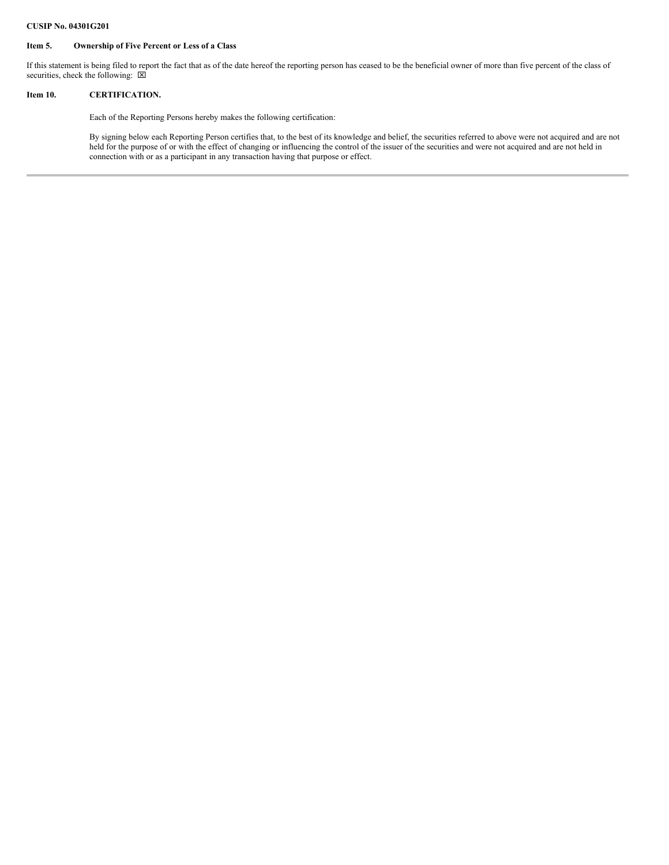### **Item 5. Ownership of Five Percent or Less of a Class**

If this statement is being filed to report the fact that as of the date hereof the reporting person has ceased to be the beneficial owner of more than five percent of the class of securities, check the following:  $\boxed{\boxtimes}$ 

### **Item 10. CERTIFICATION.**

Each of the Reporting Persons hereby makes the following certification:

By signing below each Reporting Person certifies that, to the best of its knowledge and belief, the securities referred to above were not acquired and are not held for the purpose of or with the effect of changing or influencing the control of the issuer of the securities and were not acquired and are not held in connection with or as a participant in any transaction having that purpose or effect.